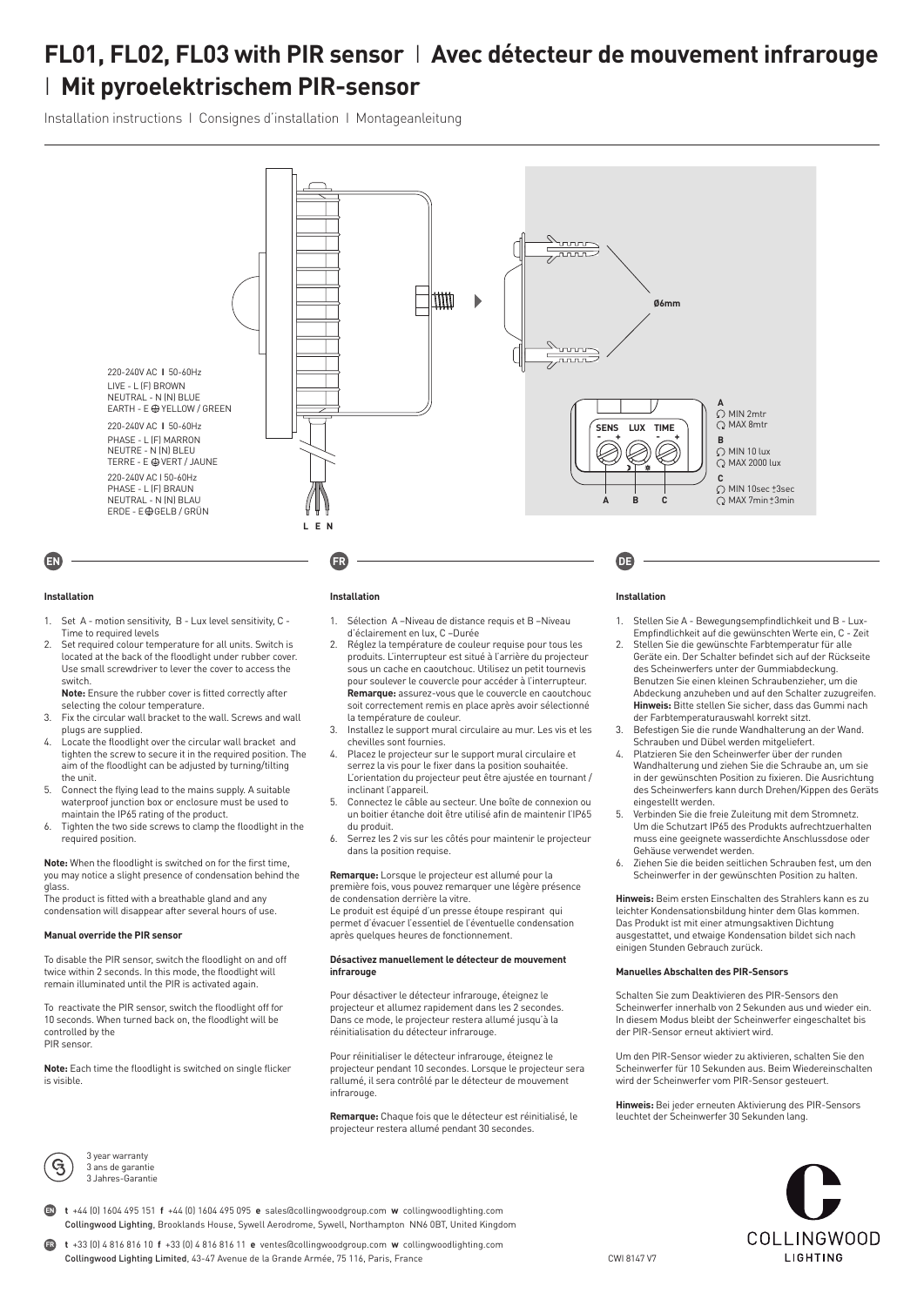# **FL01, FL02, FL03 with PIR sensor** I **Avec détecteur de mouvement infrarouge**  I **Mit pyroelektrischem PIR-sensor**

Installation instructions I Consignes d'installation I Montageanleitung



#### **Installation**

- 1. Set A motion sensitivity, B Lux level sensitivity, C Time to required levels
- 2. Set required colour temperature for all units. Switch is located at the back of the floodlight under rubber cover. Use small screwdriver to lever the cover to access the switch. **Note:** Ensure the rubber cover is fitted correctly after

selecting the colour temperature.

- 3. Fix the circular wall bracket to the wall. Screws and wall plugs are supplied.
- 4. Locate the floodlight over the circular wall bracket and tighten the screw to secure it in the required position. The aim of the floodlight can be adjusted by turning/tilting the unit.
- 5. Connect the flying lead to the mains supply. A suitable waterproof junction box or enclosure must be used to maintain the IP65 rating of the product.
- Tighten the two side screws to clamp the floodlight in the required position.

**Note:** When the floodlight is switched on for the first time, you may notice a slight presence of condensation behind the glass.

The product is fitted with a breathable gland and any condensation will disappear after several hours of use.

#### **Manual override the PIR sensor**

To disable the PIR sensor, switch the floodlight on and off twice within 2 seconds. In this mode, the floodlight will remain illuminated until the PIR is activated again.

To reactivate the PIR sensor, switch the floodlight off for 10 seconds. When turned back on, the floodlight will be controlled by the PIR sensor.

**Note:** Each time the floodlight is switched on single flicker is visible.



3 year warranty 3 ans de garantie 3 Jahres-Garantie

#### **Installation**

- 1. Sélection A –Niveau de distance requis et B –Niveau d'éclairement en lux, C –Durée
- 2. Réglez la température de couleur requise pour tous les produits. L'interrupteur est situé à l'arrière du projecteur sous un cache en caoutchouc. Utilisez un petit tournevis pour soulever le couvercle pour accéder à l'interrupteur. **Remarque:** assurez-vous que le couvercle en caoutchouc soit correctement remis en place après avoir sélectionné la température de couleur.
- 3. Installez le support mural circulaire au mur. Les vis et les chevilles sont fournies.
- 4. Placez le projecteur sur le support mural circulaire et serrez la vis pour le fixer dans la position souhaitée. L'orientation du projecteur peut être ajustée en tournant / inclinant l'appareil.
- 5. Connectez le câble au secteur. Une boîte de connexion ou un boitier étanche doit être utilisé afin de maintenir l'IP65 du produit.
- 6. Serrez les 2 vis sur les côtés pour maintenir le projecteur dans la position requise.

**Remarque:** Lorsque le projecteur est allumé pour la première fois, vous pouvez remarquer une légère présence de condensation derrière la vitre.

Le produit est équipé d'un presse étoupe respirant qui permet d'évacuer l'essentiel de l'éventuelle condensation après quelques heures de fonctionnement.

#### **Désactivez manuellement le détecteur de mouvement infrarouge**

Pour désactiver le détecteur infrarouge, éteignez le projecteur et allumez rapidement dans les 2 secondes. Dans ce mode, le projecteur restera allumé jusqu'à la réinitialisation du détecteur infrarouge.

Pour réinitialiser le détecteur infrarouge, éteignez le projecteur pendant 10 secondes. Lorsque le projecteur sera rallumé, il sera contrôlé par le détecteur de mouvement **infrarouge** 

**Remarque:** Chaque fois que le détecteur est réinitialisé, le projecteur restera allumé pendant 30 secondes.

### **Installation**

- 1. Stellen Sie A Bewegungsempfindlichkeit und B Lux-Empfindlichkeit auf die gewünschten Werte ein, C - Zeit
- 2. Stellen Sie die gewünschte Farbtemperatur für alle Geräte ein. Der Schalter befindet sich auf der Rückseite des Scheinwerfers unter der Gummiabdeckung. Benutzen Sie einen kleinen Schraubenzieher, um die Abdeckung anzuheben und auf den Schalter zuzugreifen. **Hinweis:** Bitte stellen Sie sicher, dass das Gummi nach der Farbtemperaturauswahl korrekt sitzt.
- 3. Befestigen Sie die runde Wandhalterung an der Wand. Schrauben und Dübel werden mitgeliefert.
- 4. Platzieren Sie den Scheinwerfer über der runden Wandhalterung und ziehen Sie die Schraube an, um sie in der gewünschten Position zu fixieren. Die Ausrichtung des Scheinwerfers kann durch Drehen/Kippen des Geräts eingestellt werden.
- 5. Verbinden Sie die freie Zuleitung mit dem Stromnetz. Um die Schutzart IP65 des Produkts aufrechtzuerhalten muss eine geeignete wasserdichte Anschlussdose oder Gehäuse verwendet werden.
- 6. Ziehen Sie die beiden seitlichen Schrauben fest, um den Scheinwerfer in der gewünschten Position zu halten.

**Hinweis:** Beim ersten Einschalten des Strahlers kann es zu leichter Kondensationsbildung hinter dem Glas kommen. Das Produkt ist mit einer atmungsaktiven Dichtung ausgestattet, und etwaige Kondensation bildet sich nach einigen Stunden Gebrauch zurück.

#### **Manuelles Abschalten des PIR-Sensors**

Schalten Sie zum Deaktivieren des PIR-Sensors den Scheinwerfer innerhalb von 2 Sekunden aus und wieder ein. In diesem Modus bleibt der Scheinwerfer eingeschaltet bis der PIR-Sensor erneut aktiviert wird.

Um den PIR-Sensor wieder zu aktivieren, schalten Sie den Scheinwerfer für 10 Sekunden aus. Beim Wiedereinschalten wird der Scheinwerfer vom PIR-Sensor gesteuert.

**Hinweis:** Bei jeder erneuten Aktivierung des PIR-Sensors leuchtet der Scheinwerfer 30 Sekunden lang.



**t** +44 (0) 1604 495 151 **f** +44 (0) 1604 495 095 **e** sales@collingwoodgroup.com **w** collingwoodlighting.com Collingwood Lighting, Brooklands House, Sywell Aerodrome, Sywell, Northampton NN6 0BT, United Kingdom **EN**

**t** +33 (0) 4 816 816 10 **f** +33 (0) 4 816 816 11 **e** ventes@collingwoodgroup.com **w** collingwoodlighting.com Collingwood Lighting Limited, 43-47 Avenue de la Grande Armée, 75 116, Paris, France **FR**